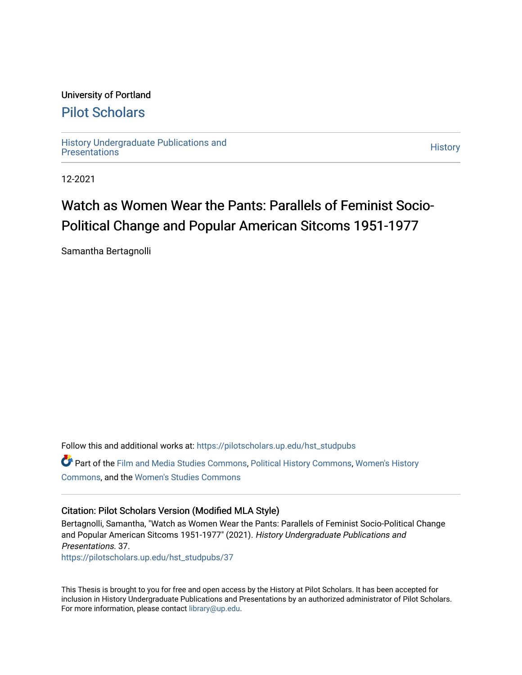## University of Portland

## [Pilot Scholars](https://pilotscholars.up.edu/)

[History Undergraduate Publications and](https://pilotscholars.up.edu/hst_studpubs) Thistory Undergraduate Publications and<br>[Presentations](https://pilotscholars.up.edu/hst_studpubs) History

12-2021

# Watch as Women Wear the Pants: Parallels of Feminist Socio-Political Change and Popular American Sitcoms 1951-1977

Samantha Bertagnolli

Follow this and additional works at: [https://pilotscholars.up.edu/hst\\_studpubs](https://pilotscholars.up.edu/hst_studpubs?utm_source=pilotscholars.up.edu%2Fhst_studpubs%2F37&utm_medium=PDF&utm_campaign=PDFCoverPages) 

Part of the [Film and Media Studies Commons,](https://network.bepress.com/hgg/discipline/563?utm_source=pilotscholars.up.edu%2Fhst_studpubs%2F37&utm_medium=PDF&utm_campaign=PDFCoverPages) [Political History Commons,](https://network.bepress.com/hgg/discipline/505?utm_source=pilotscholars.up.edu%2Fhst_studpubs%2F37&utm_medium=PDF&utm_campaign=PDFCoverPages) [Women's History](https://network.bepress.com/hgg/discipline/507?utm_source=pilotscholars.up.edu%2Fhst_studpubs%2F37&utm_medium=PDF&utm_campaign=PDFCoverPages) [Commons](https://network.bepress.com/hgg/discipline/507?utm_source=pilotscholars.up.edu%2Fhst_studpubs%2F37&utm_medium=PDF&utm_campaign=PDFCoverPages), and the [Women's Studies Commons](https://network.bepress.com/hgg/discipline/561?utm_source=pilotscholars.up.edu%2Fhst_studpubs%2F37&utm_medium=PDF&utm_campaign=PDFCoverPages)

### Citation: Pilot Scholars Version (Modified MLA Style)

Bertagnolli, Samantha, "Watch as Women Wear the Pants: Parallels of Feminist Socio-Political Change and Popular American Sitcoms 1951-1977" (2021). History Undergraduate Publications and Presentations. 37. [https://pilotscholars.up.edu/hst\\_studpubs/37](https://pilotscholars.up.edu/hst_studpubs/37?utm_source=pilotscholars.up.edu%2Fhst_studpubs%2F37&utm_medium=PDF&utm_campaign=PDFCoverPages) 

This Thesis is brought to you for free and open access by the History at Pilot Scholars. It has been accepted for inclusion in History Undergraduate Publications and Presentations by an authorized administrator of Pilot Scholars. For more information, please contact [library@up.edu.](mailto:library@up.edu)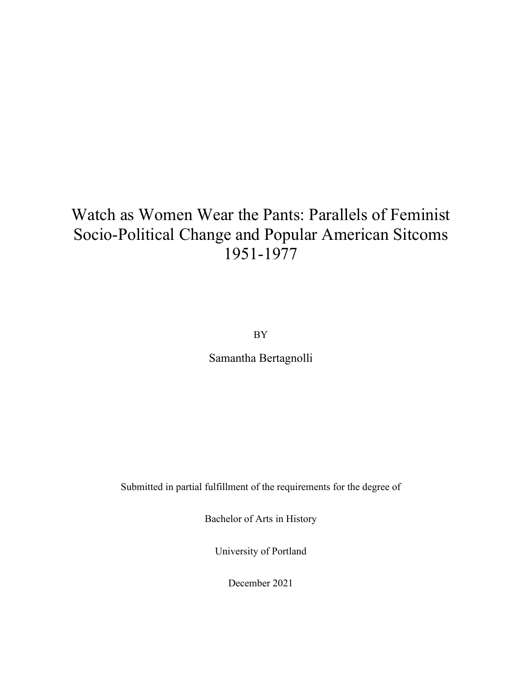# Watch as Women Wear the Pants: Parallels of Feminist Socio-Political Change and Popular American Sitcoms 1951-1977

BY

Samantha Bertagnolli

Submitted in partial fulfillment of the requirements for the degree of

Bachelor of Arts in History

University of Portland

December 2021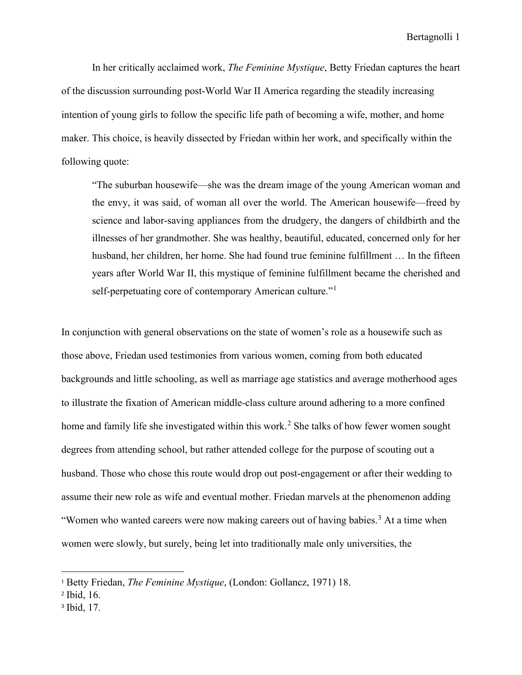In her critically acclaimed work, *The Feminine Mystique*, Betty Friedan captures the heart of the discussion surrounding post-World War II America regarding the steadily increasing intention of young girls to follow the specific life path of becoming a wife, mother, and home maker. This choice, is heavily dissected by Friedan within her work, and specifically within the following quote:

"The suburban housewife—she was the dream image of the young American woman and the envy, it was said, of woman all over the world. The American housewife—freed by science and labor-saving appliances from the drudgery, the dangers of childbirth and the illnesses of her grandmother. She was healthy, beautiful, educated, concerned only for her husband, her children, her home. She had found true feminine fulfillment … In the fifteen years after World War II, this mystique of feminine fulfillment became the cherished and self-perpetuating core of contemporary American culture."<sup>[1](#page-2-0)</sup>

In conjunction with general observations on the state of women's role as a housewife such as those above, Friedan used testimonies from various women, coming from both educated backgrounds and little schooling, as well as marriage age statistics and average motherhood ages to illustrate the fixation of American middle-class culture around adhering to a more confined home and family life she investigated within this work. [2](#page-2-1) She talks of how fewer women sought degrees from attending school, but rather attended college for the purpose of scouting out a husband. Those who chose this route would drop out post-engagement or after their wedding to assume their new role as wife and eventual mother. Friedan marvels at the phenomenon adding "Women who wanted careers were now making careers out of having babies.<sup>[3](#page-2-2)</sup> At a time when women were slowly, but surely, being let into traditionally male only universities, the

<span id="page-2-0"></span><sup>1</sup> Betty Friedan, *The Feminine Mystique*, (London: Gollancz, 1971) 18.

<span id="page-2-1"></span><sup>2</sup> Ibid, 16.

<span id="page-2-2"></span><sup>3</sup> Ibid, 17.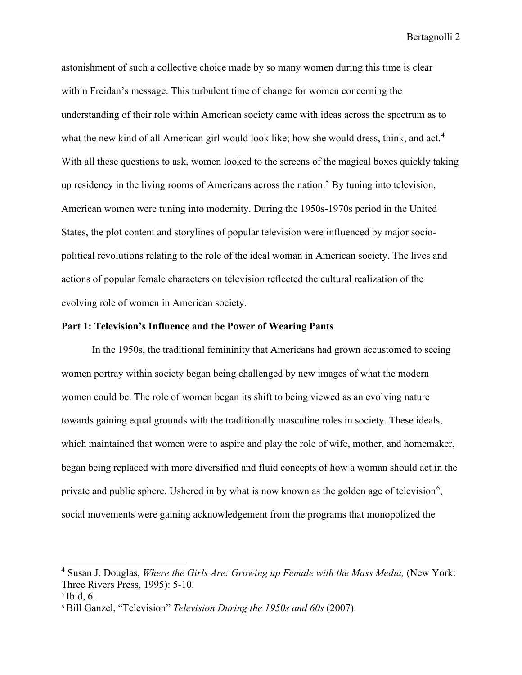astonishment of such a collective choice made by so many women during this time is clear within Freidan's message. This turbulent time of change for women concerning the understanding of their role within American society came with ideas across the spectrum as to what the new kind of all American girl would look like; how she would dress, think, and act.<sup>[4](#page-3-0)</sup> With all these questions to ask, women looked to the screens of the magical boxes quickly taking up residency in the living rooms of Americans across the nation.<sup>[5](#page-3-1)</sup> By tuning into television, American women were tuning into modernity. During the 1950s-1970s period in the United States, the plot content and storylines of popular television were influenced by major sociopolitical revolutions relating to the role of the ideal woman in American society. The lives and actions of popular female characters on television reflected the cultural realization of the evolving role of women in American society.

#### **Part 1: Television's Influence and the Power of Wearing Pants**

In the 1950s, the traditional femininity that Americans had grown accustomed to seeing women portray within society began being challenged by new images of what the modern women could be. The role of women began its shift to being viewed as an evolving nature towards gaining equal grounds with the traditionally masculine roles in society. These ideals, which maintained that women were to aspire and play the role of wife, mother, and homemaker, began being replaced with more diversified and fluid concepts of how a woman should act in the private and public sphere. Ushered in by what is now known as the golden age of television<sup>[6](#page-3-2)</sup>, social movements were gaining acknowledgement from the programs that monopolized the

<span id="page-3-0"></span><sup>4</sup> Susan J. Douglas, *Where the Girls Are: Growing up Female with the Mass Media,* (New York: Three Rivers Press, 1995): 5-10.

<span id="page-3-1"></span> $<sup>5</sup>$  Ibid, 6.</sup>

<span id="page-3-2"></span><sup>6</sup> Bill Ganzel, "Television" *Television During the 1950s and 60s* (2007).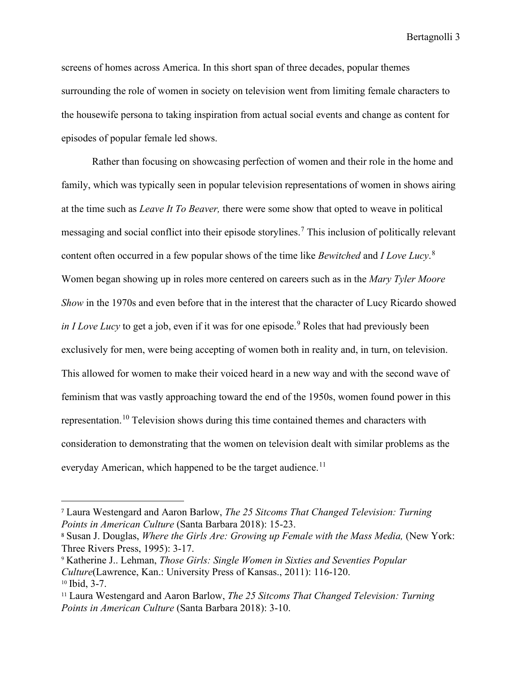screens of homes across America. In this short span of three decades, popular themes surrounding the role of women in society on television went from limiting female characters to the housewife persona to taking inspiration from actual social events and change as content for episodes of popular female led shows.

Rather than focusing on showcasing perfection of women and their role in the home and family, which was typically seen in popular television representations of women in shows airing at the time such as *Leave It To Beaver,* there were some show that opted to weave in political messaging and social conflict into their episode storylines.<sup>[7](#page-4-0)</sup> This inclusion of politically relevant content often occurred in a few popular shows of the time like *Bewitched* and *I Love Lucy*. [8](#page-4-1) Women began showing up in roles more centered on careers such as in the *Mary Tyler Moore Show* in the 1970s and even before that in the interest that the character of Lucy Ricardo showed *in I Love Lucy* to get a job, even if it was for one episode.<sup>[9](#page-4-2)</sup> Roles that had previously been exclusively for men, were being accepting of women both in reality and, in turn, on television. This allowed for women to make their voiced heard in a new way and with the second wave of feminism that was vastly approaching toward the end of the 1950s, women found power in this representation.<sup>[10](#page-4-3)</sup> Television shows during this time contained themes and characters with consideration to demonstrating that the women on television dealt with similar problems as the everyday American, which happened to be the target audience.<sup>11</sup>

<span id="page-4-0"></span><sup>7</sup> Laura Westengard and Aaron Barlow, *The 25 Sitcoms That Changed Television: Turning Points in American Culture* (Santa Barbara 2018): 15-23.

<span id="page-4-1"></span><sup>8</sup> Susan J. Douglas, *Where the Girls Are: Growing up Female with the Mass Media,* (New York: Three Rivers Press, 1995): 3-17.

<span id="page-4-2"></span><sup>9</sup> Katherine J.. Lehman, *Those Girls: Single Women in Sixties and Seventies Popular Culture*(Lawrence, Kan.: University Press of Kansas., 2011): 116-120.<br><sup>10</sup> Ibid, 3-7.

<span id="page-4-4"></span><span id="page-4-3"></span><sup>11</sup> Laura Westengard and Aaron Barlow, *The 25 Sitcoms That Changed Television: Turning Points in American Culture* (Santa Barbara 2018): 3-10.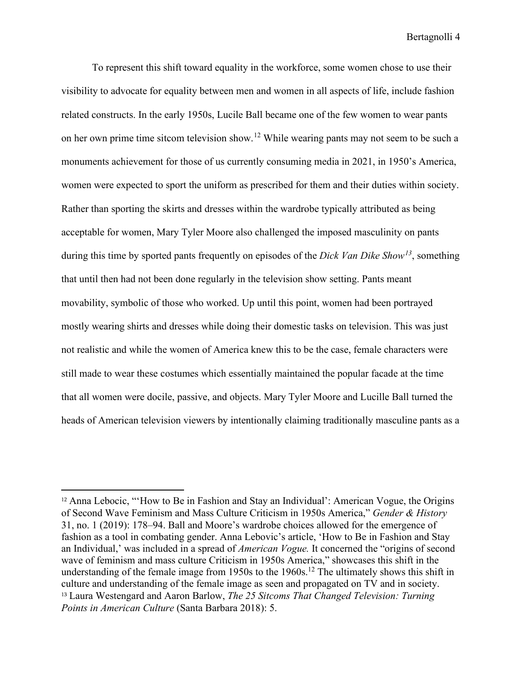To represent this shift toward equality in the workforce, some women chose to use their visibility to advocate for equality between men and women in all aspects of life, include fashion related constructs. In the early 1950s, Lucile Ball became one of the few women to wear pants on her own prime time sitcom television show.<sup>[12](#page-5-0)</sup> While wearing pants may not seem to be such a monuments achievement for those of us currently consuming media in 2021, in 1950's America, women were expected to sport the uniform as prescribed for them and their duties within society. Rather than sporting the skirts and dresses within the wardrobe typically attributed as being acceptable for women, Mary Tyler Moore also challenged the imposed masculinity on pants during this time by sported pants frequently on episodes of the *Dick Van Dike Show[13](#page-5-1)*, something that until then had not been done regularly in the television show setting. Pants meant movability, symbolic of those who worked. Up until this point, women had been portrayed mostly wearing shirts and dresses while doing their domestic tasks on television. This was just not realistic and while the women of America knew this to be the case, female characters were still made to wear these costumes which essentially maintained the popular facade at the time that all women were docile, passive, and objects. Mary Tyler Moore and Lucille Ball turned the heads of American television viewers by intentionally claiming traditionally masculine pants as a

<span id="page-5-1"></span><span id="page-5-0"></span><sup>&</sup>lt;sup>12</sup> Anna Lebocic, "'How to Be in Fashion and Stay an Individual': American Vogue, the Origins of Second Wave Feminism and Mass Culture Criticism in 1950s America," *Gender & History* 31, no. 1 (2019): 178–94. Ball and Moore's wardrobe choices allowed for the emergence of fashion as a tool in combating gender. Anna Lebovic's article, 'How to Be in Fashion and Stay an Individual,' was included in a spread of *American Vogue.* It concerned the "origins of second wave of feminism and mass culture Criticism in 1950s America," showcases this shift in the understanding of the female image from 1950s to the  $1960s$ .<sup>12</sup> The ultimately shows this shift in culture and understanding of the female image as seen and propagated on TV and in society. <sup>13</sup> Laura Westengard and Aaron Barlow, *The 25 Sitcoms That Changed Television: Turning Points in American Culture* (Santa Barbara 2018): 5.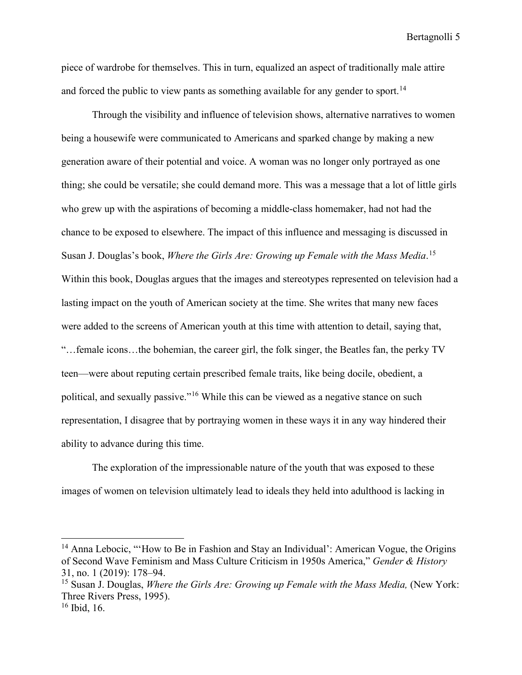piece of wardrobe for themselves. This in turn, equalized an aspect of traditionally male attire and forced the public to view pants as something available for any gender to sport.<sup>[14](#page-6-0)</sup>

Through the visibility and influence of television shows, alternative narratives to women being a housewife were communicated to Americans and sparked change by making a new generation aware of their potential and voice. A woman was no longer only portrayed as one thing; she could be versatile; she could demand more. This was a message that a lot of little girls who grew up with the aspirations of becoming a middle-class homemaker, had not had the chance to be exposed to elsewhere. The impact of this influence and messaging is discussed in Susan J. Douglas's book, *Where the Girls Are: Growing up Female with the Mass Media*. [15](#page-6-1) Within this book, Douglas argues that the images and stereotypes represented on television had a lasting impact on the youth of American society at the time. She writes that many new faces were added to the screens of American youth at this time with attention to detail, saying that, "…female icons…the bohemian, the career girl, the folk singer, the Beatles fan, the perky TV teen—were about reputing certain prescribed female traits, like being docile, obedient, a political, and sexually passive."[16](#page-6-2) While this can be viewed as a negative stance on such representation, I disagree that by portraying women in these ways it in any way hindered their ability to advance during this time.

The exploration of the impressionable nature of the youth that was exposed to these images of women on television ultimately lead to ideals they held into adulthood is lacking in

<span id="page-6-0"></span><sup>&</sup>lt;sup>14</sup> Anna Lebocic, "How to Be in Fashion and Stay an Individual': American Vogue, the Origins of Second Wave Feminism and Mass Culture Criticism in 1950s America," *Gender & History* 31, no. 1 (2019): 178–94.

<span id="page-6-1"></span><sup>15</sup> Susan J. Douglas, *Where the Girls Are: Growing up Female with the Mass Media,* (New York: Three Rivers Press, 1995).

<span id="page-6-2"></span><sup>16</sup> Ibid, 16.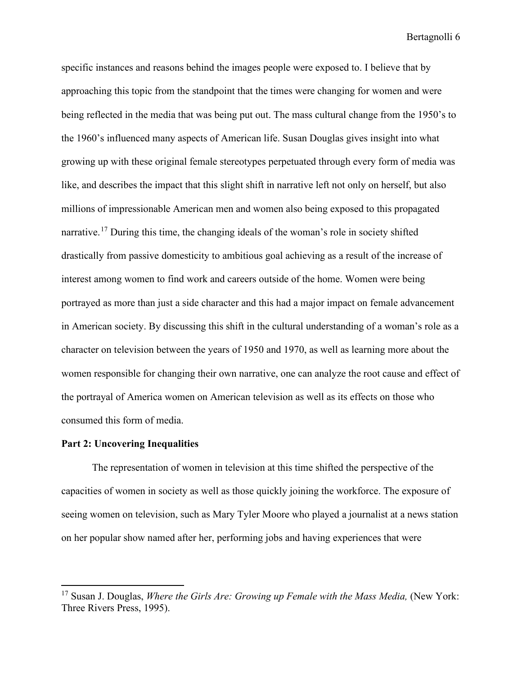specific instances and reasons behind the images people were exposed to. I believe that by approaching this topic from the standpoint that the times were changing for women and were being reflected in the media that was being put out. The mass cultural change from the 1950's to the 1960's influenced many aspects of American life. Susan Douglas gives insight into what growing up with these original female stereotypes perpetuated through every form of media was like, and describes the impact that this slight shift in narrative left not only on herself, but also millions of impressionable American men and women also being exposed to this propagated narrative.[17](#page-7-0) During this time, the changing ideals of the woman's role in society shifted drastically from passive domesticity to ambitious goal achieving as a result of the increase of interest among women to find work and careers outside of the home. Women were being portrayed as more than just a side character and this had a major impact on female advancement in American society. By discussing this shift in the cultural understanding of a woman's role as a character on television between the years of 1950 and 1970, as well as learning more about the women responsible for changing their own narrative, one can analyze the root cause and effect of the portrayal of America women on American television as well as its effects on those who consumed this form of media.

#### **Part 2: Uncovering Inequalities**

The representation of women in television at this time shifted the perspective of the capacities of women in society as well as those quickly joining the workforce. The exposure of seeing women on television, such as Mary Tyler Moore who played a journalist at a news station on her popular show named after her, performing jobs and having experiences that were

<span id="page-7-0"></span><sup>17</sup> Susan J. Douglas, *Where the Girls Are: Growing up Female with the Mass Media,* (New York: Three Rivers Press, 1995).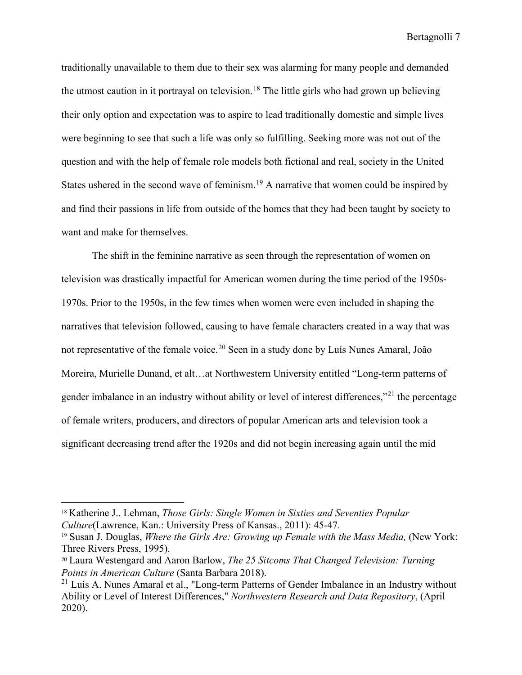traditionally unavailable to them due to their sex was alarming for many people and demanded the utmost caution in it portrayal on television.<sup>[18](#page-8-0)</sup> The little girls who had grown up believing their only option and expectation was to aspire to lead traditionally domestic and simple lives were beginning to see that such a life was only so fulfilling. Seeking more was not out of the question and with the help of female role models both fictional and real, society in the United States ushered in the second wave of feminism.<sup>19</sup> A narrative that women could be inspired by and find their passions in life from outside of the homes that they had been taught by society to want and make for themselves.

The shift in the feminine narrative as seen through the representation of women on television was drastically impactful for American women during the time period of the 1950s-1970s. Prior to the 1950s, in the few times when women were even included in shaping the narratives that television followed, causing to have female characters created in a way that was not representative of the female voice.[20](#page-8-2) Seen in a study done by Luís Nunes Amaral, João Moreira, Murielle Dunand, et alt…at Northwestern University entitled "Long-term patterns of gender imbalance in an industry without ability or level of interest differences,"<sup>[21](#page-8-3)</sup> the percentage of female writers, producers, and directors of popular American arts and television took a significant decreasing trend after the 1920s and did not begin increasing again until the mid

<span id="page-8-0"></span><sup>18</sup> Katherine J.. Lehman, *Those Girls: Single Women in Sixties and Seventies Popular Culture*(Lawrence, Kan.: University Press of Kansas., 2011): 45-47.

<span id="page-8-1"></span><sup>19</sup> Susan J. Douglas, *Where the Girls Are: Growing up Female with the Mass Media,* (New York: Three Rivers Press, 1995).

<span id="page-8-2"></span><sup>20</sup> Laura Westengard and Aaron Barlow, *The 25 Sitcoms That Changed Television: Turning Points in American Culture* (Santa Barbara 2018).

<span id="page-8-3"></span> $21$  Luís A. Nunes Amaral et al., "Long-term Patterns of Gender Imbalance in an Industry without Ability or Level of Interest Differences," *Northwestern Research and Data Repository*, (April 2020).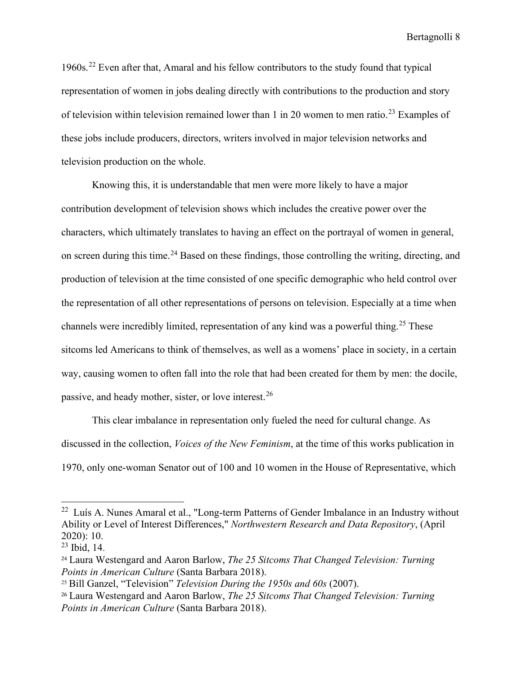1960s.[22](#page-9-0) Even after that, Amaral and his fellow contributors to the study found that typical representation of women in jobs dealing directly with contributions to the production and story of television within television remained lower than 1 in 20 women to men ratio.<sup>[23](#page-9-1)</sup> Examples of these jobs include producers, directors, writers involved in major television networks and television production on the whole.

Knowing this, it is understandable that men were more likely to have a major contribution development of television shows which includes the creative power over the characters, which ultimately translates to having an effect on the portrayal of women in general, on screen during this time.<sup>[24](#page-9-2)</sup> Based on these findings, those controlling the writing, directing, and production of television at the time consisted of one specific demographic who held control over the representation of all other representations of persons on television. Especially at a time when channels were incredibly limited, representation of any kind was a powerful thing.<sup>[25](#page-9-3)</sup> These sitcoms led Americans to think of themselves, as well as a womens' place in society, in a certain way, causing women to often fall into the role that had been created for them by men: the docile, passive, and heady mother, sister, or love interest.[26](#page-9-4)

This clear imbalance in representation only fueled the need for cultural change. As discussed in the collection, *Voices of the New Feminism*, at the time of this works publication in 1970, only one-woman Senator out of 100 and 10 women in the House of Representative, which

<span id="page-9-0"></span> $22$  Luís A. Nunes Amaral et al., "Long-term Patterns of Gender Imbalance in an Industry without Ability or Level of Interest Differences," *Northwestern Research and Data Repository*, (April 2020): 10.

<span id="page-9-1"></span> $23$  Ibid, 14.

<span id="page-9-2"></span><sup>24</sup> Laura Westengard and Aaron Barlow, *The 25 Sitcoms That Changed Television: Turning Points in American Culture* (Santa Barbara 2018). 25 Bill Ganzel, "Television" *Television During the 1950s and 60s* (2007).

<span id="page-9-3"></span>

<span id="page-9-4"></span><sup>26</sup> Laura Westengard and Aaron Barlow, *The 25 Sitcoms That Changed Television: Turning Points in American Culture* (Santa Barbara 2018).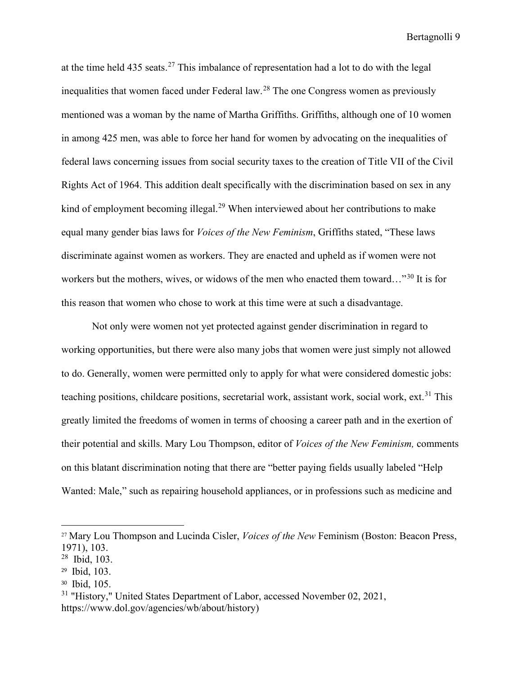at the time held  $435$  seats.<sup>[27](#page-10-0)</sup> This imbalance of representation had a lot to do with the legal inequalities that women faced under Federal law.<sup>[28](#page-10-1)</sup> The one Congress women as previously mentioned was a woman by the name of Martha Griffiths. Griffiths, although one of 10 women in among 425 men, was able to force her hand for women by advocating on the inequalities of federal laws concerning issues from social security taxes to the creation of Title VII of the Civil Rights Act of 1964. This addition dealt specifically with the discrimination based on sex in any kind of employment becoming illegal.<sup>[29](#page-10-2)</sup> When interviewed about her contributions to make equal many gender bias laws for *Voices of the New Feminism*, Griffiths stated, "These laws discriminate against women as workers. They are enacted and upheld as if women were not workers but the mothers, wives, or widows of the men who enacted them toward…"<sup>[30](#page-10-3)</sup> It is for this reason that women who chose to work at this time were at such a disadvantage.

Not only were women not yet protected against gender discrimination in regard to working opportunities, but there were also many jobs that women were just simply not allowed to do. Generally, women were permitted only to apply for what were considered domestic jobs: teaching positions, childcare positions, secretarial work, assistant work, social work,  $ext{ext}^{31}$  $ext{ext}^{31}$  $ext{ext}^{31}$ . This greatly limited the freedoms of women in terms of choosing a career path and in the exertion of their potential and skills. Mary Lou Thompson, editor of *Voices of the New Feminism,* comments on this blatant discrimination noting that there are "better paying fields usually labeled "Help Wanted: Male," such as repairing household appliances, or in professions such as medicine and

<span id="page-10-0"></span><sup>27</sup> Mary Lou Thompson and Lucinda Cisler, *Voices of the New* Feminism (Boston: Beacon Press, 1971), 103.

<span id="page-10-1"></span><sup>28</sup> Ibid, 103.

<span id="page-10-2"></span><sup>29</sup> Ibid, 103.

<span id="page-10-3"></span><sup>30</sup> Ibid, 105.

<span id="page-10-4"></span><sup>&</sup>lt;sup>31</sup> "History," United States Department of Labor, accessed November 02, 2021, https://www.dol.gov/agencies/wb/about/history)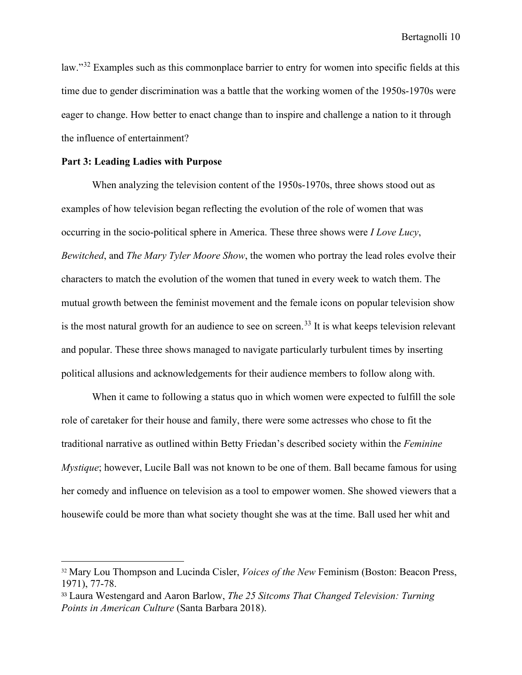law."<sup>[32](#page-11-0)</sup> Examples such as this commonplace barrier to entry for women into specific fields at this time due to gender discrimination was a battle that the working women of the 1950s-1970s were eager to change. How better to enact change than to inspire and challenge a nation to it through the influence of entertainment?

#### **Part 3: Leading Ladies with Purpose**

When analyzing the television content of the 1950s-1970s, three shows stood out as examples of how television began reflecting the evolution of the role of women that was occurring in the socio-political sphere in America. These three shows were *I Love Lucy*, *Bewitched*, and *The Mary Tyler Moore Show*, the women who portray the lead roles evolve their characters to match the evolution of the women that tuned in every week to watch them. The mutual growth between the feminist movement and the female icons on popular television show is the most natural growth for an audience to see on screen.<sup>[33](#page-11-1)</sup> It is what keeps television relevant and popular. These three shows managed to navigate particularly turbulent times by inserting political allusions and acknowledgements for their audience members to follow along with.

When it came to following a status quo in which women were expected to fulfill the sole role of caretaker for their house and family, there were some actresses who chose to fit the traditional narrative as outlined within Betty Friedan's described society within the *Feminine Mystique*; however, Lucile Ball was not known to be one of them. Ball became famous for using her comedy and influence on television as a tool to empower women. She showed viewers that a housewife could be more than what society thought she was at the time. Ball used her whit and

<span id="page-11-0"></span><sup>32</sup> Mary Lou Thompson and Lucinda Cisler, *Voices of the New* Feminism (Boston: Beacon Press, 1971), 77-78.

<span id="page-11-1"></span><sup>33</sup> Laura Westengard and Aaron Barlow, *The 25 Sitcoms That Changed Television: Turning Points in American Culture* (Santa Barbara 2018).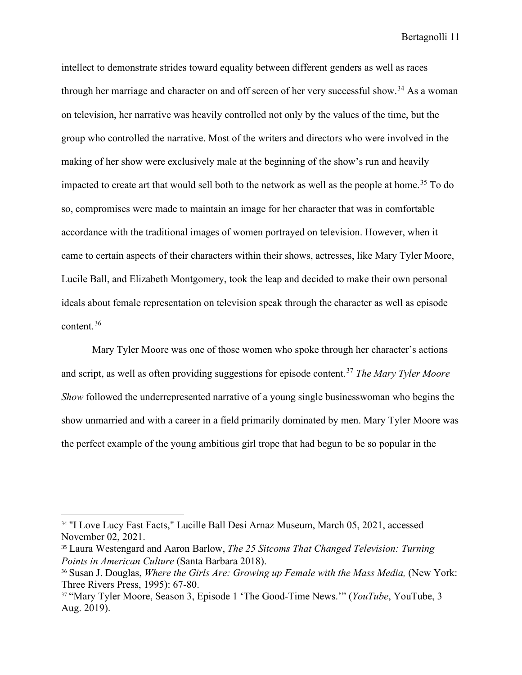intellect to demonstrate strides toward equality between different genders as well as races through her marriage and character on and off screen of her very successful show.<sup>[34](#page-12-0)</sup> As a woman on television, her narrative was heavily controlled not only by the values of the time, but the group who controlled the narrative. Most of the writers and directors who were involved in the making of her show were exclusively male at the beginning of the show's run and heavily impacted to create art that would sell both to the network as well as the people at home.<sup>[35](#page-12-1)</sup> To do so, compromises were made to maintain an image for her character that was in comfortable accordance with the traditional images of women portrayed on television. However, when it came to certain aspects of their characters within their shows, actresses, like Mary Tyler Moore, Lucile Ball, and Elizabeth Montgomery, took the leap and decided to make their own personal ideals about female representation on television speak through the character as well as episode content.[36](#page-12-2)

Mary Tyler Moore was one of those women who spoke through her character's actions and script, as well as often providing suggestions for episode content.[37](#page-12-3) *The Mary Tyler Moore Show* followed the underrepresented narrative of a young single businesswoman who begins the show unmarried and with a career in a field primarily dominated by men. Mary Tyler Moore was the perfect example of the young ambitious girl trope that had begun to be so popular in the

<span id="page-12-0"></span><sup>&</sup>lt;sup>34</sup> "I Love Lucy Fast Facts," Lucille Ball Desi Arnaz Museum, March 05, 2021, accessed November 02, 2021.

<span id="page-12-1"></span><sup>35</sup> Laura Westengard and Aaron Barlow, *The 25 Sitcoms That Changed Television: Turning Points in American Culture* (Santa Barbara 2018). 36 Susan J. Douglas, *Where the Girls Are: Growing up Female with the Mass Media,* (New York:

<span id="page-12-2"></span>Three Rivers Press, 1995): 67-80.

<span id="page-12-3"></span><sup>37</sup> "Mary Tyler Moore, Season 3, Episode 1 'The Good-Time News.'" (*YouTube*, YouTube, 3 Aug. 2019).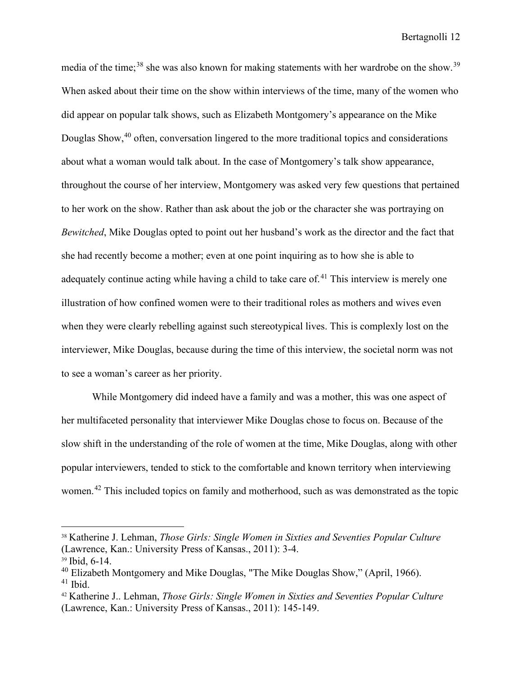media of the time;<sup>[38](#page-13-0)</sup> she was also known for making statements with her wardrobe on the show.<sup>[39](#page-13-1)</sup> When asked about their time on the show within interviews of the time, many of the women who did appear on popular talk shows, such as Elizabeth Montgomery's appearance on the Mike Douglas Show,<sup>[40](#page-13-2)</sup> often, conversation lingered to the more traditional topics and considerations about what a woman would talk about. In the case of Montgomery's talk show appearance, throughout the course of her interview, Montgomery was asked very few questions that pertained to her work on the show. Rather than ask about the job or the character she was portraying on *Bewitched*, Mike Douglas opted to point out her husband's work as the director and the fact that she had recently become a mother; even at one point inquiring as to how she is able to adequately continue acting while having a child to take care of.<sup>[41](#page-13-3)</sup> This interview is merely one illustration of how confined women were to their traditional roles as mothers and wives even when they were clearly rebelling against such stereotypical lives. This is complexly lost on the interviewer, Mike Douglas, because during the time of this interview, the societal norm was not to see a woman's career as her priority.

While Montgomery did indeed have a family and was a mother, this was one aspect of her multifaceted personality that interviewer Mike Douglas chose to focus on. Because of the slow shift in the understanding of the role of women at the time, Mike Douglas, along with other popular interviewers, tended to stick to the comfortable and known territory when interviewing women.<sup>[42](#page-13-4)</sup> This included topics on family and motherhood, such as was demonstrated as the topic

<span id="page-13-0"></span><sup>38</sup> Katherine J. Lehman, *Those Girls: Single Women in Sixties and Seventies Popular Culture*  (Lawrence, Kan.: University Press of Kansas., 2011): 3-4.

<span id="page-13-1"></span><sup>39</sup> Ibid, 6-14.

<span id="page-13-3"></span><span id="page-13-2"></span> $40$  Elizabeth Montgomery and Mike Douglas, "The Mike Douglas Show," (April, 1966).  $41$  Ibid.

<span id="page-13-4"></span><sup>42</sup> Katherine J.. Lehman, *Those Girls: Single Women in Sixties and Seventies Popular Culture*  (Lawrence, Kan.: University Press of Kansas., 2011): 145-149.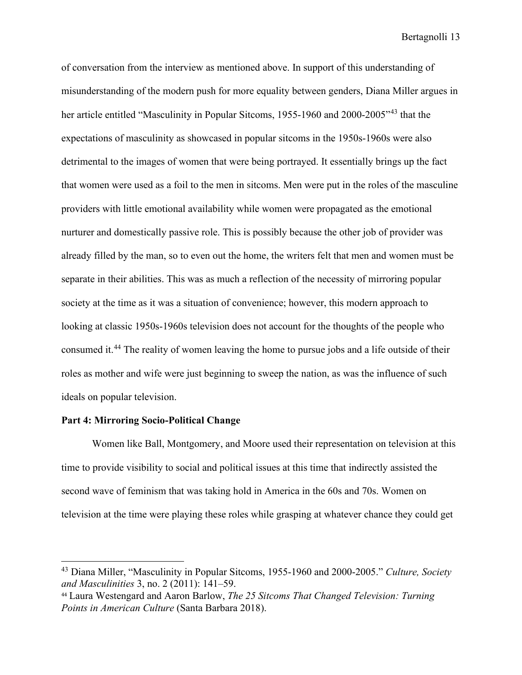of conversation from the interview as mentioned above. In support of this understanding of misunderstanding of the modern push for more equality between genders, Diana Miller argues in her article entitled "Masculinity in Popular Sitcoms, 1955-1960 and 2000-2005<sup>"[43](#page-14-0)</sup> that the expectations of masculinity as showcased in popular sitcoms in the 1950s-1960s were also detrimental to the images of women that were being portrayed. It essentially brings up the fact that women were used as a foil to the men in sitcoms. Men were put in the roles of the masculine providers with little emotional availability while women were propagated as the emotional nurturer and domestically passive role. This is possibly because the other job of provider was already filled by the man, so to even out the home, the writers felt that men and women must be separate in their abilities. This was as much a reflection of the necessity of mirroring popular society at the time as it was a situation of convenience; however, this modern approach to looking at classic 1950s-1960s television does not account for the thoughts of the people who consumed it.[44](#page-14-1) The reality of women leaving the home to pursue jobs and a life outside of their roles as mother and wife were just beginning to sweep the nation, as was the influence of such ideals on popular television.

#### **Part 4: Mirroring Socio-Political Change**

Women like Ball, Montgomery, and Moore used their representation on television at this time to provide visibility to social and political issues at this time that indirectly assisted the second wave of feminism that was taking hold in America in the 60s and 70s. Women on television at the time were playing these roles while grasping at whatever chance they could get

<span id="page-14-0"></span><sup>43</sup> Diana Miller, "Masculinity in Popular Sitcoms, 1955-1960 and 2000-2005." *Culture, Society and Masculinities* 3, no. 2 (2011): 141–59.

<span id="page-14-1"></span><sup>44</sup> Laura Westengard and Aaron Barlow, *The 25 Sitcoms That Changed Television: Turning Points in American Culture* (Santa Barbara 2018).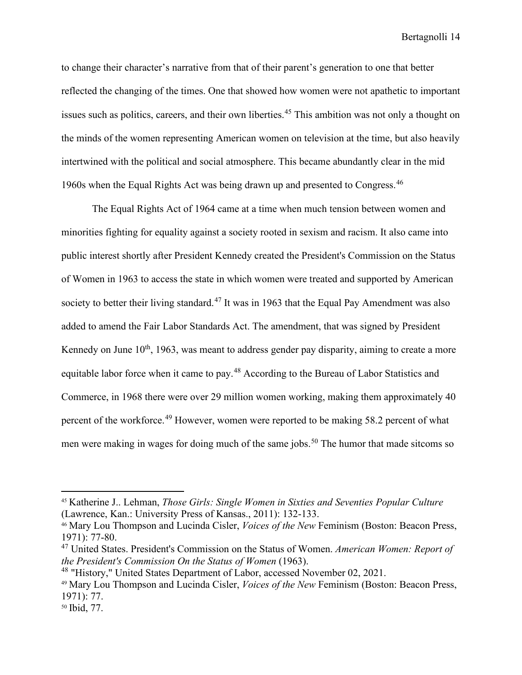to change their character's narrative from that of their parent's generation to one that better reflected the changing of the times. One that showed how women were not apathetic to important issues such as politics, careers, and their own liberties.<sup>[45](#page-15-0)</sup> This ambition was not only a thought on the minds of the women representing American women on television at the time, but also heavily intertwined with the political and social atmosphere. This became abundantly clear in the mid 1960s when the Equal Rights Act was being drawn up and presented to Congress.[46](#page-15-1)

The Equal Rights Act of 1964 came at a time when much tension between women and minorities fighting for equality against a society rooted in sexism and racism. It also came into public interest shortly after President Kennedy created the President's Commission on the Status of Women in 1963 to access the state in which women were treated and supported by American society to better their living standard.<sup>[47](#page-15-2)</sup> It was in 1963 that the Equal Pay Amendment was also added to amend the Fair Labor Standards Act. The amendment, that was signed by President Kennedy on June  $10<sup>th</sup>$ , 1963, was meant to address gender pay disparity, aiming to create a more equitable labor force when it came to pay.<sup>48</sup> According to the Bureau of Labor Statistics and Commerce, in 1968 there were over 29 million women working, making them approximately 40 percent of the workforce.[49](#page-15-4) However, women were reported to be making 58.2 percent of what men were making in wages for doing much of the same jobs.<sup>[50](#page-15-5)</sup> The humor that made sitcoms so

<span id="page-15-0"></span><sup>45</sup> Katherine J.. Lehman, *Those Girls: Single Women in Sixties and Seventies Popular Culture*  (Lawrence, Kan.: University Press of Kansas., 2011): 132-133.

<span id="page-15-1"></span><sup>46</sup> Mary Lou Thompson and Lucinda Cisler, *Voices of the New* Feminism (Boston: Beacon Press, 1971): 77-80.

<span id="page-15-2"></span><sup>47</sup> United States. President's Commission on the Status of Women. *American Women: Report of the President's Commission On the Status of Women* (1963).

<span id="page-15-3"></span><sup>&</sup>lt;sup>48</sup> "History," United States Department of Labor, accessed November 02, 2021.

<span id="page-15-4"></span><sup>49</sup> Mary Lou Thompson and Lucinda Cisler, *Voices of the New* Feminism (Boston: Beacon Press, 1971): 77.

<span id="page-15-5"></span><sup>50</sup> Ibid, 77.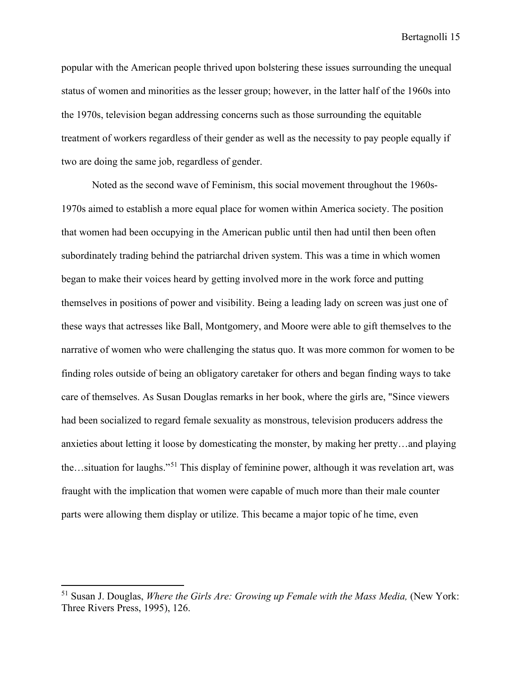popular with the American people thrived upon bolstering these issues surrounding the unequal status of women and minorities as the lesser group; however, in the latter half of the 1960s into the 1970s, television began addressing concerns such as those surrounding the equitable treatment of workers regardless of their gender as well as the necessity to pay people equally if two are doing the same job, regardless of gender.

Noted as the second wave of Feminism, this social movement throughout the 1960s-1970s aimed to establish a more equal place for women within America society. The position that women had been occupying in the American public until then had until then been often subordinately trading behind the patriarchal driven system. This was a time in which women began to make their voices heard by getting involved more in the work force and putting themselves in positions of power and visibility. Being a leading lady on screen was just one of these ways that actresses like Ball, Montgomery, and Moore were able to gift themselves to the narrative of women who were challenging the status quo. It was more common for women to be finding roles outside of being an obligatory caretaker for others and began finding ways to take care of themselves. As Susan Douglas remarks in her book, where the girls are, "Since viewers had been socialized to regard female sexuality as monstrous, television producers address the anxieties about letting it loose by domesticating the monster, by making her pretty…and playing the…situation for laughs."[51](#page-16-0) This display of feminine power, although it was revelation art, was fraught with the implication that women were capable of much more than their male counter parts were allowing them display or utilize. This became a major topic of he time, even

<span id="page-16-0"></span><sup>51</sup> Susan J. Douglas, *Where the Girls Are: Growing up Female with the Mass Media,* (New York: Three Rivers Press, 1995), 126.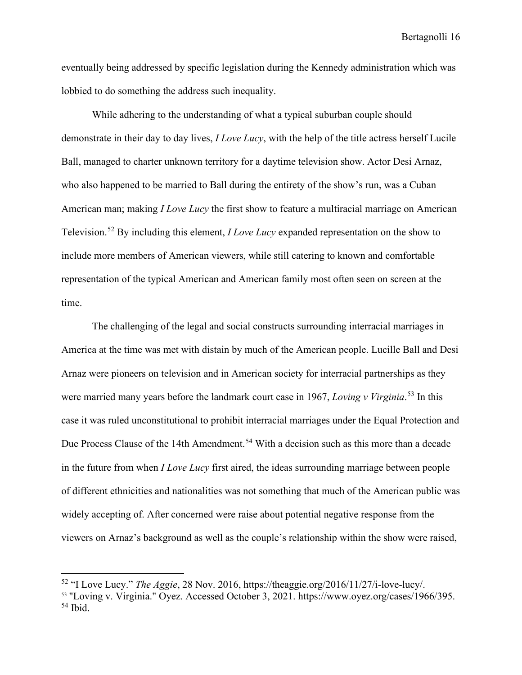eventually being addressed by specific legislation during the Kennedy administration which was lobbied to do something the address such inequality.

While adhering to the understanding of what a typical suburban couple should demonstrate in their day to day lives, *I Love Lucy*, with the help of the title actress herself Lucile Ball, managed to charter unknown territory for a daytime television show. Actor Desi Arnaz, who also happened to be married to Ball during the entirety of the show's run, was a Cuban American man; making *I Love Lucy* the first show to feature a multiracial marriage on American Television.[52](#page-17-0) By including this element, *I Love Lucy* expanded representation on the show to include more members of American viewers, while still catering to known and comfortable representation of the typical American and American family most often seen on screen at the time.

The challenging of the legal and social constructs surrounding interracial marriages in America at the time was met with distain by much of the American people. Lucille Ball and Desi Arnaz were pioneers on television and in American society for interracial partnerships as they were married many years before the landmark court case in 1967, *Loving v Virginia*. [53](#page-17-1) In this case it was ruled unconstitutional to prohibit interracial marriages under the Equal Protection and Due Process Clause of the 14th Amendment.<sup>[54](#page-17-2)</sup> With a decision such as this more than a decade in the future from when *I Love Lucy* first aired, the ideas surrounding marriage between people of different ethnicities and nationalities was not something that much of the American public was widely accepting of. After concerned were raise about potential negative response from the viewers on Arnaz's background as well as the couple's relationship within the show were raised,

<span id="page-17-0"></span><sup>52</sup> "I Love Lucy." *The Aggie*, 28 Nov. 2016, https://theaggie.org/2016/11/27/i-love-lucy/.

<span id="page-17-2"></span><span id="page-17-1"></span><sup>53</sup> "Loving v. Virginia." Oyez. Accessed October 3, 2021. https://www.oyez.org/cases/1966/395.  $54$  Ibid.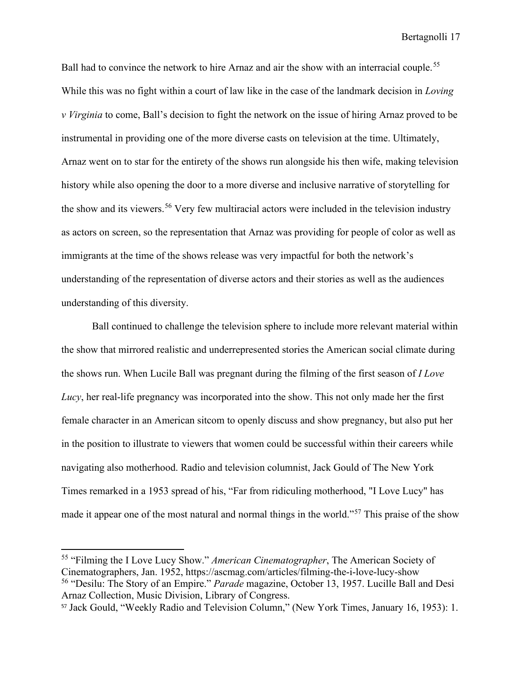Ball had to convince the network to hire Arnaz and air the show with an interracial couple.<sup>[55](#page-18-0)</sup> While this was no fight within a court of law like in the case of the landmark decision in *Loving v Virginia* to come, Ball's decision to fight the network on the issue of hiring Arnaz proved to be instrumental in providing one of the more diverse casts on television at the time. Ultimately, Arnaz went on to star for the entirety of the shows run alongside his then wife, making television history while also opening the door to a more diverse and inclusive narrative of storytelling for the show and its viewers.<sup>[56](#page-18-1)</sup> Very few multiracial actors were included in the television industry as actors on screen, so the representation that Arnaz was providing for people of color as well as immigrants at the time of the shows release was very impactful for both the network's understanding of the representation of diverse actors and their stories as well as the audiences understanding of this diversity.

Ball continued to challenge the television sphere to include more relevant material within the show that mirrored realistic and underrepresented stories the American social climate during the shows run. When Lucile Ball was pregnant during the filming of the first season of *I Love Lucy*, her real-life pregnancy was incorporated into the show. This not only made her the first female character in an American sitcom to openly discuss and show pregnancy, but also put her in the position to illustrate to viewers that women could be successful within their careers while navigating also motherhood. Radio and television columnist, Jack Gould of The New York Times remarked in a 1953 spread of his, "Far from ridiculing motherhood, "I Love Lucy" has made it appear one of the most natural and normal things in the world."[57](#page-18-2) This praise of the show

<span id="page-18-0"></span><sup>55</sup> "Filming the I Love Lucy Show." *American Cinematographer*, The American Society of Cinematographers, Jan. 1952, https://ascmag.com/articles/filming-the-i-love-lucy-show

<span id="page-18-1"></span><sup>56</sup> "Desilu: The Story of an Empire." *Parade* magazine, October 13, 1957. Lucille Ball and Desi Arnaz Collection, Music Division, Library of Congress.

<span id="page-18-2"></span><sup>57</sup> Jack Gould, "Weekly Radio and Television Column," (New York Times, January 16, 1953): 1.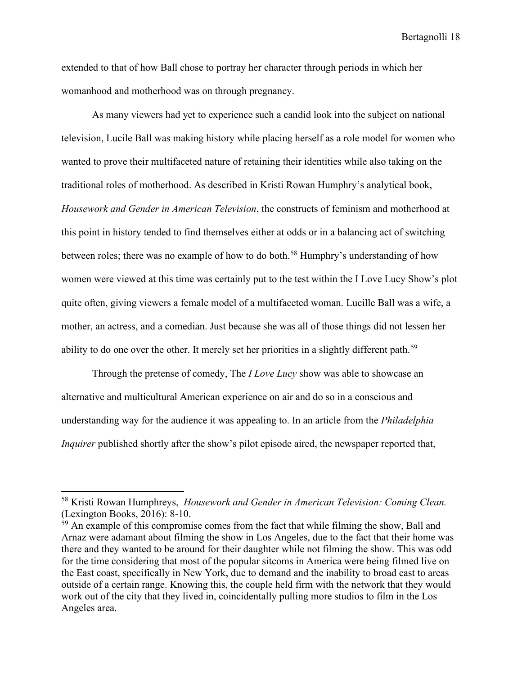extended to that of how Ball chose to portray her character through periods in which her womanhood and motherhood was on through pregnancy.

As many viewers had yet to experience such a candid look into the subject on national television, Lucile Ball was making history while placing herself as a role model for women who wanted to prove their multifaceted nature of retaining their identities while also taking on the traditional roles of motherhood. As described in Kristi Rowan Humphry's analytical book, *Housework and Gender in American Television*, the constructs of feminism and motherhood at this point in history tended to find themselves either at odds or in a balancing act of switching between roles; there was no example of how to do both.<sup>[58](#page-19-0)</sup> Humphry's understanding of how women were viewed at this time was certainly put to the test within the I Love Lucy Show's plot quite often, giving viewers a female model of a multifaceted woman. Lucille Ball was a wife, a mother, an actress, and a comedian. Just because she was all of those things did not lessen her ability to do one over the other. It merely set her priorities in a slightly different path.<sup>[59](#page-19-1)</sup>

Through the pretense of comedy, The *I Love Lucy* show was able to showcase an alternative and multicultural American experience on air and do so in a conscious and understanding way for the audience it was appealing to. In an article from the *Philadelphia Inquirer* published shortly after the show's pilot episode aired, the newspaper reported that,

<span id="page-19-0"></span><sup>58</sup> Kristi Rowan Humphreys, *Housework and Gender in American Television: Coming Clean.* (Lexington Books, 2016): 8-10.

<span id="page-19-1"></span> $59$  An example of this compromise comes from the fact that while filming the show, Ball and Arnaz were adamant about filming the show in Los Angeles, due to the fact that their home was there and they wanted to be around for their daughter while not filming the show. This was odd for the time considering that most of the popular sitcoms in America were being filmed live on the East coast, specifically in New York, due to demand and the inability to broad cast to areas outside of a certain range. Knowing this, the couple held firm with the network that they would work out of the city that they lived in, coincidentally pulling more studios to film in the Los Angeles area.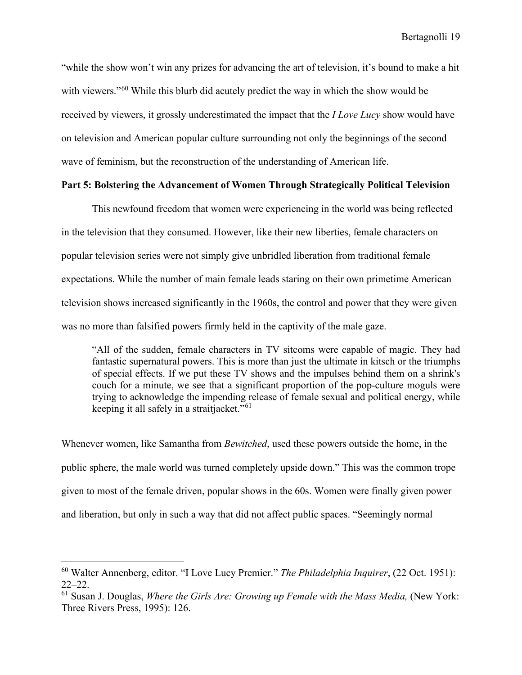"while the show won't win any prizes for advancing the art of television, it's bound to make a hit with viewers."<sup>[60](#page-20-0)</sup> While this blurb did acutely predict the way in which the show would be received by viewers, it grossly underestimated the impact that the *I Love Lucy* show would have on television and American popular culture surrounding not only the beginnings of the second wave of feminism, but the reconstruction of the understanding of American life.

### **Part 5: Bolstering the Advancement of Women Through Strategically Political Television**

This newfound freedom that women were experiencing in the world was being reflected in the television that they consumed. However, like their new liberties, female characters on popular television series were not simply give unbridled liberation from traditional female expectations. While the number of main female leads staring on their own primetime American television shows increased significantly in the 1960s, the control and power that they were given was no more than falsified powers firmly held in the captivity of the male gaze.

"All of the sudden, female characters in TV sitcoms were capable of magic. They had fantastic supernatural powers. This is more than just the ultimate in kitsch or the triumphs of special effects. If we put these TV shows and the impulses behind them on a shrink's couch for a minute, we see that a significant proportion of the pop-culture moguls were trying to acknowledge the impending release of female sexual and political energy, while keeping it all safely in a straitjacket." $61$ 

Whenever women, like Samantha from *Bewitched*, used these powers outside the home, in the public sphere, the male world was turned completely upside down." This was the common trope given to most of the female driven, popular shows in the 60s. Women were finally given power and liberation, but only in such a way that did not affect public spaces. "Seemingly normal

<span id="page-20-0"></span><sup>60</sup> Walter Annenberg, editor. "I Love Lucy Premier." *The Philadelphia Inquirer*, (22 Oct. 1951): 22–22.

<span id="page-20-1"></span><sup>61</sup> Susan J. Douglas, *Where the Girls Are: Growing up Female with the Mass Media,* (New York: Three Rivers Press, 1995): 126.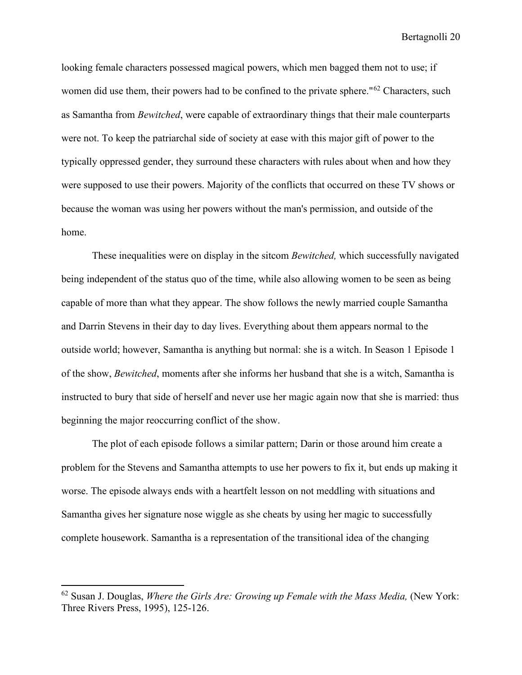looking female characters possessed magical powers, which men bagged them not to use; if women did use them, their powers had to be confined to the private sphere."<sup>[62](#page-21-0)</sup> Characters, such as Samantha from *Bewitched*, were capable of extraordinary things that their male counterparts were not. To keep the patriarchal side of society at ease with this major gift of power to the typically oppressed gender, they surround these characters with rules about when and how they were supposed to use their powers. Majority of the conflicts that occurred on these TV shows or because the woman was using her powers without the man's permission, and outside of the home.

These inequalities were on display in the sitcom *Bewitched,* which successfully navigated being independent of the status quo of the time, while also allowing women to be seen as being capable of more than what they appear. The show follows the newly married couple Samantha and Darrin Stevens in their day to day lives. Everything about them appears normal to the outside world; however, Samantha is anything but normal: she is a witch. In Season 1 Episode 1 of the show, *Bewitched*, moments after she informs her husband that she is a witch, Samantha is instructed to bury that side of herself and never use her magic again now that she is married: thus beginning the major reoccurring conflict of the show.

The plot of each episode follows a similar pattern; Darin or those around him create a problem for the Stevens and Samantha attempts to use her powers to fix it, but ends up making it worse. The episode always ends with a heartfelt lesson on not meddling with situations and Samantha gives her signature nose wiggle as she cheats by using her magic to successfully complete housework. Samantha is a representation of the transitional idea of the changing

<span id="page-21-0"></span><sup>62</sup> Susan J. Douglas, *Where the Girls Are: Growing up Female with the Mass Media,* (New York: Three Rivers Press, 1995), 125-126.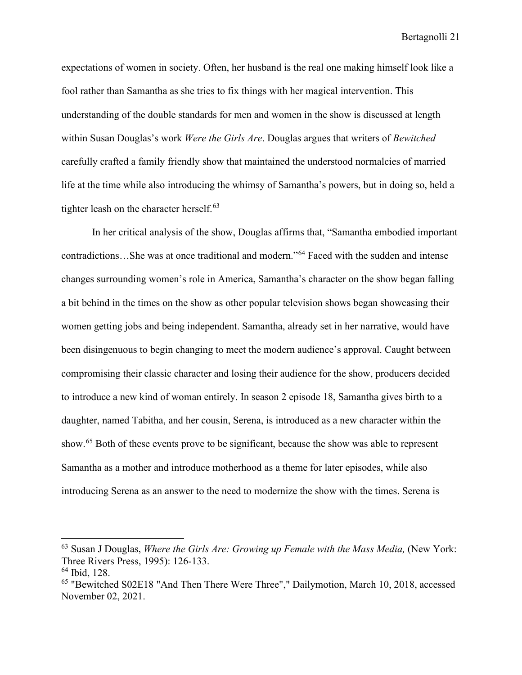expectations of women in society. Often, her husband is the real one making himself look like a fool rather than Samantha as she tries to fix things with her magical intervention. This understanding of the double standards for men and women in the show is discussed at length within Susan Douglas's work *Were the Girls Are*. Douglas argues that writers of *Bewitched* carefully crafted a family friendly show that maintained the understood normalcies of married life at the time while also introducing the whimsy of Samantha's powers, but in doing so, held a tighter leash on the character herself. $63$ 

In her critical analysis of the show, Douglas affirms that, "Samantha embodied important contradictions…She was at once traditional and modern."[64](#page-22-1) Faced with the sudden and intense changes surrounding women's role in America, Samantha's character on the show began falling a bit behind in the times on the show as other popular television shows began showcasing their women getting jobs and being independent. Samantha, already set in her narrative, would have been disingenuous to begin changing to meet the modern audience's approval. Caught between compromising their classic character and losing their audience for the show, producers decided to introduce a new kind of woman entirely. In season 2 episode 18, Samantha gives birth to a daughter, named Tabitha, and her cousin, Serena, is introduced as a new character within the show.[65](#page-22-2) Both of these events prove to be significant, because the show was able to represent Samantha as a mother and introduce motherhood as a theme for later episodes, while also introducing Serena as an answer to the need to modernize the show with the times. Serena is

<span id="page-22-0"></span><sup>63</sup> Susan J Douglas, *Where the Girls Are: Growing up Female with the Mass Media,* (New York: Three Rivers Press, 1995): 126-133.

<span id="page-22-1"></span> $64$  Ibid, 128.

<span id="page-22-2"></span><sup>65 &</sup>quot;Bewitched S02E18 "And Then There Were Three"," Dailymotion, March 10, 2018, accessed November 02, 2021.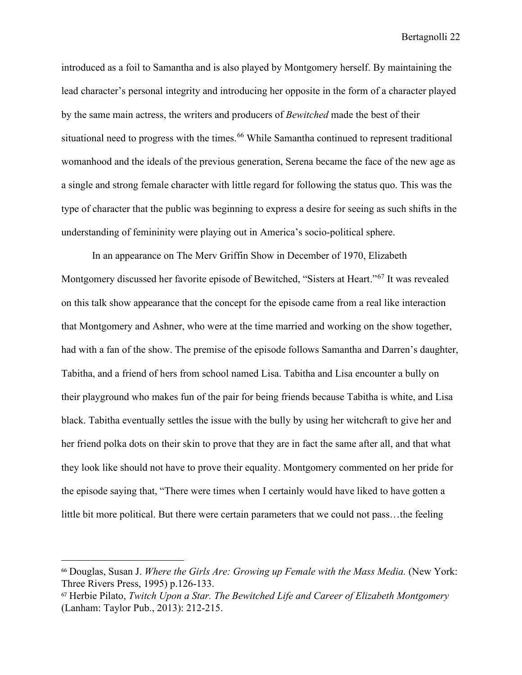introduced as a foil to Samantha and is also played by Montgomery herself. By maintaining the lead character's personal integrity and introducing her opposite in the form of a character played by the same main actress, the writers and producers of *Bewitched* made the best of their situational need to progress with the times.<sup>[66](#page-23-0)</sup> While Samantha continued to represent traditional womanhood and the ideals of the previous generation, Serena became the face of the new age as a single and strong female character with little regard for following the status quo. This was the type of character that the public was beginning to express a desire for seeing as such shifts in the understanding of femininity were playing out in America's socio-political sphere.

In an appearance on The Merv Griffin Show in December of 1970, Elizabeth Montgomery discussed her favorite episode of Bewitched, "Sisters at Heart."[67](#page-23-1) It was revealed on this talk show appearance that the concept for the episode came from a real like interaction that Montgomery and Ashner, who were at the time married and working on the show together, had with a fan of the show. The premise of the episode follows Samantha and Darren's daughter, Tabitha, and a friend of hers from school named Lisa. Tabitha and Lisa encounter a bully on their playground who makes fun of the pair for being friends because Tabitha is white, and Lisa black. Tabitha eventually settles the issue with the bully by using her witchcraft to give her and her friend polka dots on their skin to prove that they are in fact the same after all, and that what they look like should not have to prove their equality. Montgomery commented on her pride for the episode saying that, "There were times when I certainly would have liked to have gotten a little bit more political. But there were certain parameters that we could not pass…the feeling

<span id="page-23-0"></span><sup>66</sup> Douglas, Susan J. *Where the Girls Are: Growing up Female with the Mass Media.* (New York: Three Rivers Press, 1995) p.126-133.

<span id="page-23-1"></span><sup>67</sup> Herbie Pilato, *Twitch Upon a Star. The Bewitched Life and Career of Elizabeth Montgomery*  (Lanham: Taylor Pub., 2013): 212-215.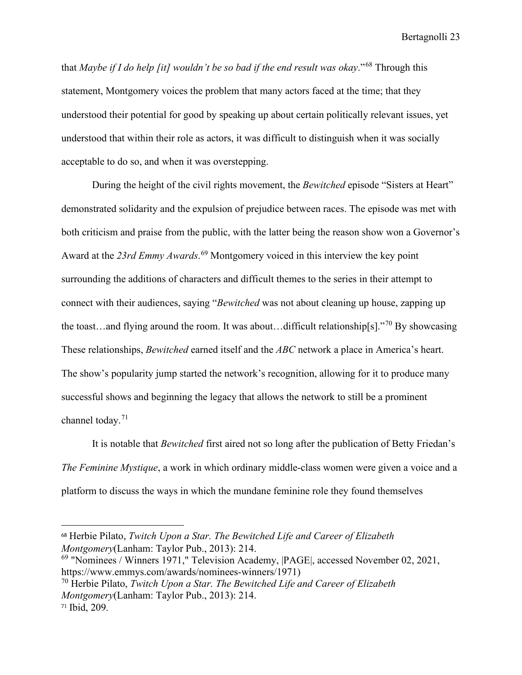that *Maybe if I do help [it] wouldn't be so bad if the end result was okay*."[68](#page-24-0) Through this statement, Montgomery voices the problem that many actors faced at the time; that they understood their potential for good by speaking up about certain politically relevant issues, yet understood that within their role as actors, it was difficult to distinguish when it was socially acceptable to do so, and when it was overstepping.

During the height of the civil rights movement, the *Bewitched* episode "Sisters at Heart" demonstrated solidarity and the expulsion of prejudice between races. The episode was met with both criticism and praise from the public, with the latter being the reason show won a Governor's Award at the *23rd Emmy Awards*. [69](#page-24-1) Montgomery voiced in this interview the key point surrounding the additions of characters and difficult themes to the series in their attempt to connect with their audiences, saying "*Bewitched* was not about cleaning up house, zapping up the toast...and flying around the room. It was about...difficult relationship[s]."<sup>[70](#page-24-2)</sup> By showcasing These relationships, *Bewitched* earned itself and the *ABC* network a place in America's heart. The show's popularity jump started the network's recognition, allowing for it to produce many successful shows and beginning the legacy that allows the network to still be a prominent channel today.<sup>[71](#page-24-3)</sup>

It is notable that *Bewitched* first aired not so long after the publication of Betty Friedan's *The Feminine Mystique*, a work in which ordinary middle-class women were given a voice and a platform to discuss the ways in which the mundane feminine role they found themselves

<span id="page-24-0"></span><sup>68</sup> Herbie Pilato, *Twitch Upon a Star. The Bewitched Life and Career of Elizabeth Montgomery*(Lanham: Taylor Pub., 2013): 214.

<span id="page-24-1"></span><sup>69 &</sup>quot;Nominees / Winners 1971," Television Academy, |PAGE|, accessed November 02, 2021, https://www.emmys.com/awards/nominees-winners/1971)

<span id="page-24-2"></span><sup>70</sup> Herbie Pilato, *Twitch Upon a Star. The Bewitched Life and Career of Elizabeth Montgomery*(Lanham: Taylor Pub., 2013): 214.

<span id="page-24-3"></span><sup>71</sup> Ibid, 209.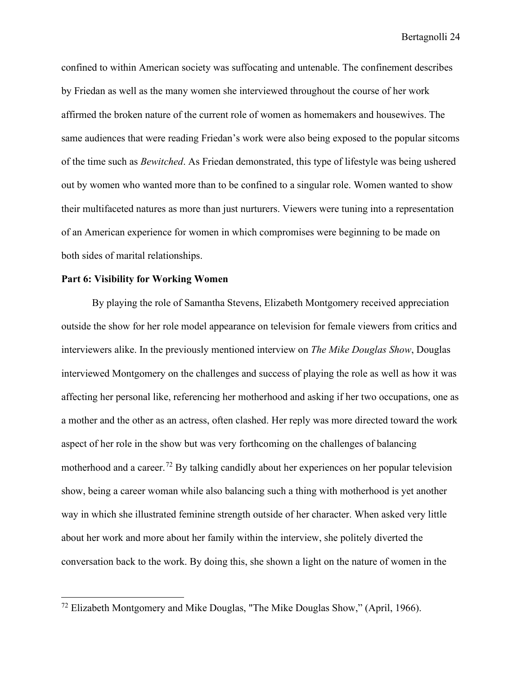confined to within American society was suffocating and untenable. The confinement describes by Friedan as well as the many women she interviewed throughout the course of her work affirmed the broken nature of the current role of women as homemakers and housewives. The same audiences that were reading Friedan's work were also being exposed to the popular sitcoms of the time such as *Bewitched*. As Friedan demonstrated, this type of lifestyle was being ushered out by women who wanted more than to be confined to a singular role. Women wanted to show their multifaceted natures as more than just nurturers. Viewers were tuning into a representation of an American experience for women in which compromises were beginning to be made on both sides of marital relationships.

#### **Part 6: Visibility for Working Women**

By playing the role of Samantha Stevens, Elizabeth Montgomery received appreciation outside the show for her role model appearance on television for female viewers from critics and interviewers alike. In the previously mentioned interview on *The Mike Douglas Show*, Douglas interviewed Montgomery on the challenges and success of playing the role as well as how it was affecting her personal like, referencing her motherhood and asking if her two occupations, one as a mother and the other as an actress, often clashed. Her reply was more directed toward the work aspect of her role in the show but was very forthcoming on the challenges of balancing motherhood and a career.<sup>[72](#page-25-0)</sup> By talking candidly about her experiences on her popular television show, being a career woman while also balancing such a thing with motherhood is yet another way in which she illustrated feminine strength outside of her character. When asked very little about her work and more about her family within the interview, she politely diverted the conversation back to the work. By doing this, she shown a light on the nature of women in the

<span id="page-25-0"></span><sup>72</sup> Elizabeth Montgomery and Mike Douglas, "The Mike Douglas Show," (April, 1966).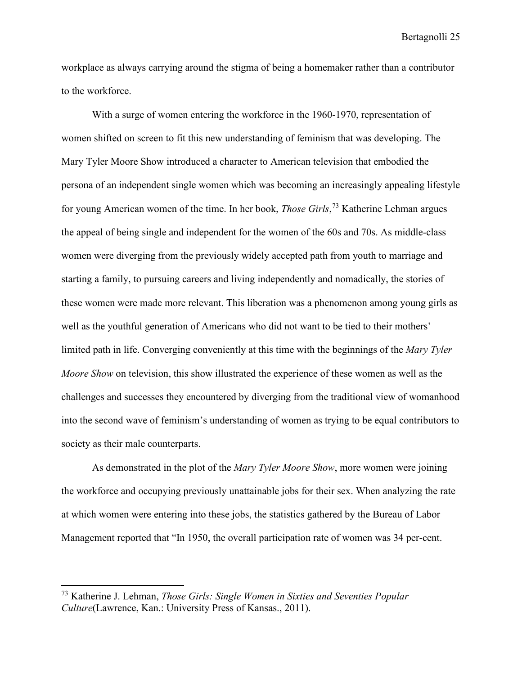workplace as always carrying around the stigma of being a homemaker rather than a contributor to the workforce.

With a surge of women entering the workforce in the 1960-1970, representation of women shifted on screen to fit this new understanding of feminism that was developing. The Mary Tyler Moore Show introduced a character to American television that embodied the persona of an independent single women which was becoming an increasingly appealing lifestyle for young American women of the time. In her book, *Those Girls*, [73](#page-26-0) Katherine Lehman argues the appeal of being single and independent for the women of the 60s and 70s. As middle-class women were diverging from the previously widely accepted path from youth to marriage and starting a family, to pursuing careers and living independently and nomadically, the stories of these women were made more relevant. This liberation was a phenomenon among young girls as well as the youthful generation of Americans who did not want to be tied to their mothers' limited path in life. Converging conveniently at this time with the beginnings of the *Mary Tyler Moore Show* on television, this show illustrated the experience of these women as well as the challenges and successes they encountered by diverging from the traditional view of womanhood into the second wave of feminism's understanding of women as trying to be equal contributors to society as their male counterparts.

As demonstrated in the plot of the *Mary Tyler Moore Show*, more women were joining the workforce and occupying previously unattainable jobs for their sex. When analyzing the rate at which women were entering into these jobs, the statistics gathered by the Bureau of Labor Management reported that "In 1950, the overall participation rate of women was 34 per-cent.

<span id="page-26-0"></span><sup>73</sup> Katherine J. Lehman, *Those Girls: Single Women in Sixties and Seventies Popular Culture*(Lawrence, Kan.: University Press of Kansas., 2011).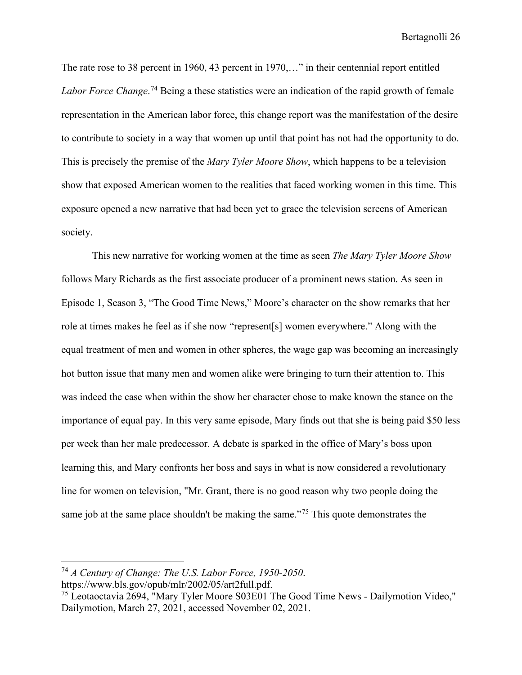The rate rose to 38 percent in 1960, 43 percent in 1970,…" in their centennial report entitled *Labor Force Change*. [74](#page-27-0) Being a these statistics were an indication of the rapid growth of female representation in the American labor force, this change report was the manifestation of the desire to contribute to society in a way that women up until that point has not had the opportunity to do. This is precisely the premise of the *Mary Tyler Moore Show*, which happens to be a television show that exposed American women to the realities that faced working women in this time. This exposure opened a new narrative that had been yet to grace the television screens of American society.

 This new narrative for working women at the time as seen *The Mary Tyler Moore Show* follows Mary Richards as the first associate producer of a prominent news station. As seen in Episode 1, Season 3, "The Good Time News," Moore's character on the show remarks that her role at times makes he feel as if she now "represent[s] women everywhere." Along with the equal treatment of men and women in other spheres, the wage gap was becoming an increasingly hot button issue that many men and women alike were bringing to turn their attention to. This was indeed the case when within the show her character chose to make known the stance on the importance of equal pay. In this very same episode, Mary finds out that she is being paid \$50 less per week than her male predecessor. A debate is sparked in the office of Mary's boss upon learning this, and Mary confronts her boss and says in what is now considered a revolutionary line for women on television, "Mr. Grant, there is no good reason why two people doing the same job at the same place shouldn't be making the same."<sup>[75](#page-27-1)</sup> This quote demonstrates the

<span id="page-27-0"></span><sup>74</sup> *A Century of Change: The U.S. Labor Force, 1950-2050*.

https://www.bls.gov/opub/mlr/2002/05/art2full.pdf.

<span id="page-27-1"></span><sup>75</sup> Leotaoctavia 2694, "Mary Tyler Moore S03E01 The Good Time News - Dailymotion Video," Dailymotion, March 27, 2021, accessed November 02, 2021.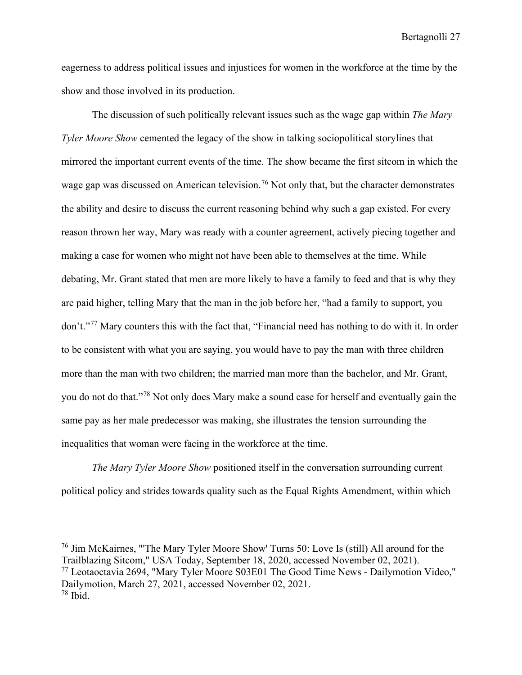eagerness to address political issues and injustices for women in the workforce at the time by the show and those involved in its production.

The discussion of such politically relevant issues such as the wage gap within *The Mary Tyler Moore Show* cemented the legacy of the show in talking sociopolitical storylines that mirrored the important current events of the time. The show became the first sitcom in which the wage gap was discussed on American television.<sup>[76](#page-28-0)</sup> Not only that, but the character demonstrates the ability and desire to discuss the current reasoning behind why such a gap existed. For every reason thrown her way, Mary was ready with a counter agreement, actively piecing together and making a case for women who might not have been able to themselves at the time. While debating, Mr. Grant stated that men are more likely to have a family to feed and that is why they are paid higher, telling Mary that the man in the job before her, "had a family to support, you don't."[77](#page-28-1) Mary counters this with the fact that, "Financial need has nothing to do with it. In order to be consistent with what you are saying, you would have to pay the man with three children more than the man with two children; the married man more than the bachelor, and Mr. Grant, you do not do that."[78](#page-28-2) Not only does Mary make a sound case for herself and eventually gain the same pay as her male predecessor was making, she illustrates the tension surrounding the inequalities that woman were facing in the workforce at the time.

*The Mary Tyler Moore Show* positioned itself in the conversation surrounding current political policy and strides towards quality such as the Equal Rights Amendment, within which

<span id="page-28-2"></span><span id="page-28-1"></span><span id="page-28-0"></span><sup>76</sup> Jim McKairnes, "'The Mary Tyler Moore Show' Turns 50: Love Is (still) All around for the Trailblazing Sitcom," USA Today, September 18, 2020, accessed November 02, 2021).  $^{77}$  Leotaoctavia 2694, "Mary Tyler Moore S03E01 The Good Time News - Dailymotion Video," Dailymotion, March 27, 2021, accessed November 02, 2021.  $78$  Ibid.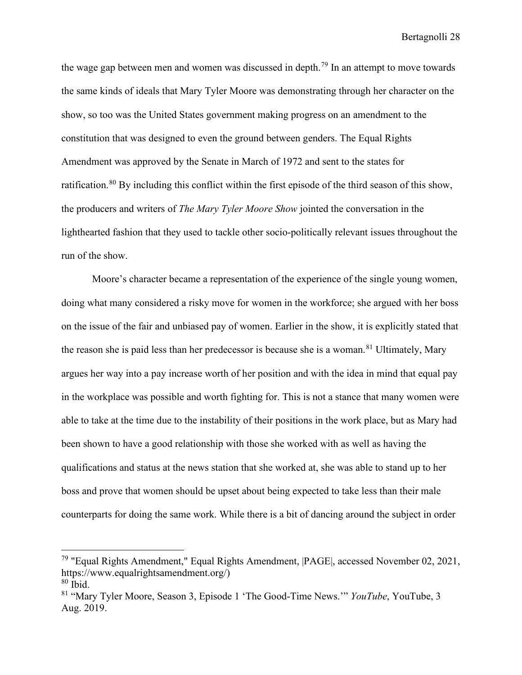the wage gap between men and women was discussed in depth.<sup>[79](#page-29-0)</sup> In an attempt to move towards the same kinds of ideals that Mary Tyler Moore was demonstrating through her character on the show, so too was the United States government making progress on an amendment to the constitution that was designed to even the ground between genders. The Equal Rights Amendment was approved by the Senate in March of 1972 and sent to the states for ratification.<sup>[80](#page-29-1)</sup> By including this conflict within the first episode of the third season of this show, the producers and writers of *The Mary Tyler Moore Show* jointed the conversation in the lighthearted fashion that they used to tackle other socio-politically relevant issues throughout the run of the show.

 Moore's character became a representation of the experience of the single young women, doing what many considered a risky move for women in the workforce; she argued with her boss on the issue of the fair and unbiased pay of women. Earlier in the show, it is explicitly stated that the reason she is paid less than her predecessor is because she is a woman.<sup>[81](#page-29-2)</sup> Ultimately, Mary argues her way into a pay increase worth of her position and with the idea in mind that equal pay in the workplace was possible and worth fighting for. This is not a stance that many women were able to take at the time due to the instability of their positions in the work place, but as Mary had been shown to have a good relationship with those she worked with as well as having the qualifications and status at the news station that she worked at, she was able to stand up to her boss and prove that women should be upset about being expected to take less than their male counterparts for doing the same work. While there is a bit of dancing around the subject in order

<span id="page-29-0"></span><sup>79 &</sup>quot;Equal Rights Amendment," Equal Rights Amendment, |PAGE|, accessed November 02, 2021, https://www.equalrightsamendment.org/)

<span id="page-29-1"></span><sup>80</sup> Ibid.

<span id="page-29-2"></span><sup>81</sup> "Mary Tyler Moore, Season 3, Episode 1 'The Good-Time News.'" *YouTube*, YouTube, 3 Aug. 2019.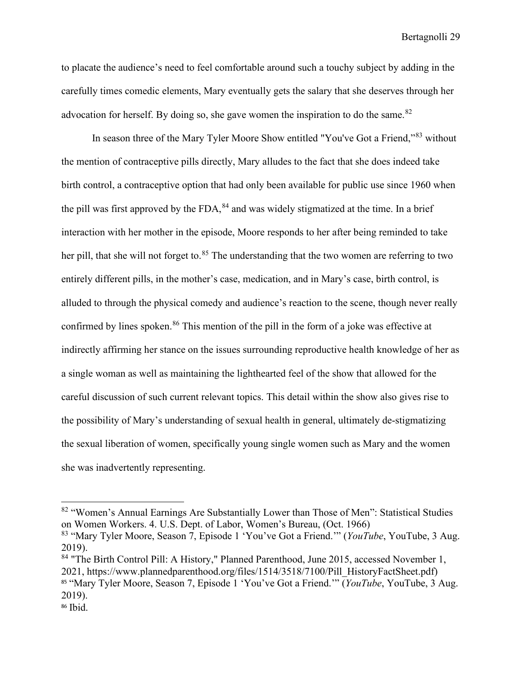to placate the audience's need to feel comfortable around such a touchy subject by adding in the carefully times comedic elements, Mary eventually gets the salary that she deserves through her advocation for herself. By doing so, she gave women the inspiration to do the same.<sup>[82](#page-30-0)</sup>

In season three of the Mary Tyler Moore Show entitled "You've Got a Friend,"<sup>83</sup> without the mention of contraceptive pills directly, Mary alludes to the fact that she does indeed take birth control, a contraceptive option that had only been available for public use since 1960 when the pill was first approved by the  $FDA$ ,  $84$  and was widely stigmatized at the time. In a brief interaction with her mother in the episode, Moore responds to her after being reminded to take her pill, that she will not forget to.<sup>[85](#page-30-3)</sup> The understanding that the two women are referring to two entirely different pills, in the mother's case, medication, and in Mary's case, birth control, is alluded to through the physical comedy and audience's reaction to the scene, though never really confirmed by lines spoken.<sup>[86](#page-30-4)</sup> This mention of the pill in the form of a joke was effective at indirectly affirming her stance on the issues surrounding reproductive health knowledge of her as a single woman as well as maintaining the lighthearted feel of the show that allowed for the careful discussion of such current relevant topics. This detail within the show also gives rise to the possibility of Mary's understanding of sexual health in general, ultimately de-stigmatizing the sexual liberation of women, specifically young single women such as Mary and the women she was inadvertently representing.

<span id="page-30-0"></span><sup>&</sup>lt;sup>82</sup> "Women's Annual Earnings Are Substantially Lower than Those of Men": Statistical Studies on Women Workers. 4. U.S. Dept. of Labor, Women's Bureau, (Oct. 1966)

<span id="page-30-1"></span><sup>83</sup> "Mary Tyler Moore, Season 7, Episode 1 'You've Got a Friend.'" (*YouTube*, YouTube, 3 Aug. 2019).

<span id="page-30-3"></span><span id="page-30-2"></span><sup>&</sup>lt;sup>84</sup> "The Birth Control Pill: A History," Planned Parenthood, June 2015, accessed November 1, 2021, https://www.plannedparenthood.org/files/1514/3518/7100/Pill\_HistoryFactSheet.pdf) <sup>85</sup> "Mary Tyler Moore, Season 7, Episode 1 'You've Got a Friend.'" (*YouTube*, YouTube, 3 Aug. 2019).

<span id="page-30-4"></span><sup>86</sup> Ibid.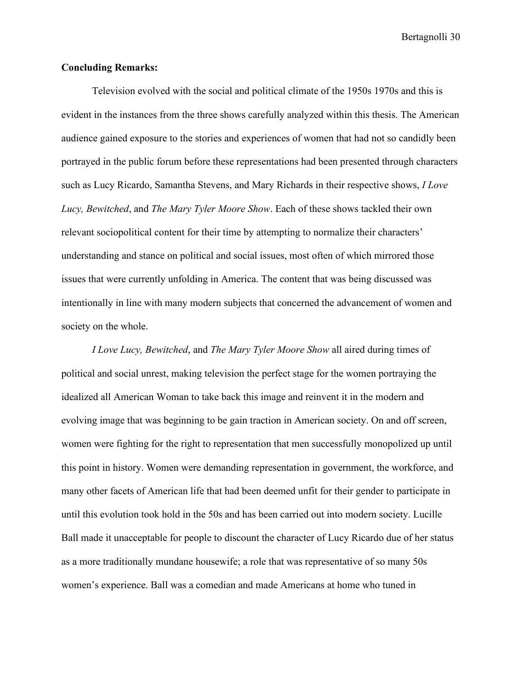#### **Concluding Remarks:**

Television evolved with the social and political climate of the 1950s 1970s and this is evident in the instances from the three shows carefully analyzed within this thesis. The American audience gained exposure to the stories and experiences of women that had not so candidly been portrayed in the public forum before these representations had been presented through characters such as Lucy Ricardo, Samantha Stevens, and Mary Richards in their respective shows, *I Love Lucy, Bewitched*, and *The Mary Tyler Moore Show*. Each of these shows tackled their own relevant sociopolitical content for their time by attempting to normalize their characters' understanding and stance on political and social issues, most often of which mirrored those issues that were currently unfolding in America. The content that was being discussed was intentionally in line with many modern subjects that concerned the advancement of women and society on the whole.

*I Love Lucy, Bewitched*, and *The Mary Tyler Moore Show* all aired during times of political and social unrest, making television the perfect stage for the women portraying the idealized all American Woman to take back this image and reinvent it in the modern and evolving image that was beginning to be gain traction in American society. On and off screen, women were fighting for the right to representation that men successfully monopolized up until this point in history. Women were demanding representation in government, the workforce, and many other facets of American life that had been deemed unfit for their gender to participate in until this evolution took hold in the 50s and has been carried out into modern society. Lucille Ball made it unacceptable for people to discount the character of Lucy Ricardo due of her status as a more traditionally mundane housewife; a role that was representative of so many 50s women's experience. Ball was a comedian and made Americans at home who tuned in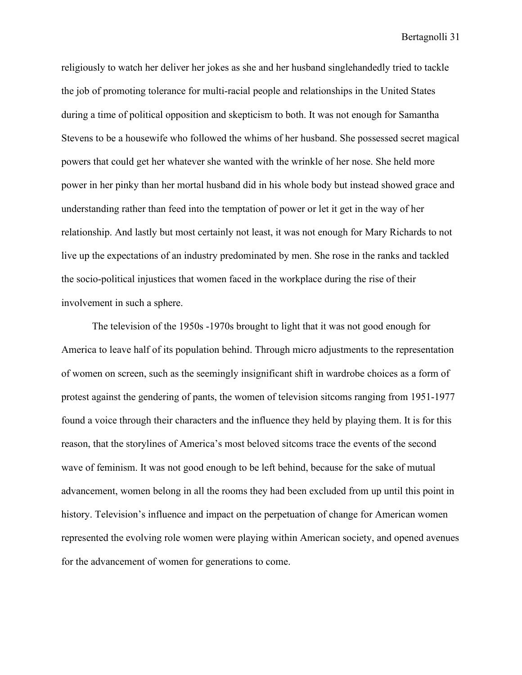religiously to watch her deliver her jokes as she and her husband singlehandedly tried to tackle the job of promoting tolerance for multi-racial people and relationships in the United States during a time of political opposition and skepticism to both. It was not enough for Samantha Stevens to be a housewife who followed the whims of her husband. She possessed secret magical powers that could get her whatever she wanted with the wrinkle of her nose. She held more power in her pinky than her mortal husband did in his whole body but instead showed grace and understanding rather than feed into the temptation of power or let it get in the way of her relationship. And lastly but most certainly not least, it was not enough for Mary Richards to not live up the expectations of an industry predominated by men. She rose in the ranks and tackled the socio-political injustices that women faced in the workplace during the rise of their involvement in such a sphere.

The television of the 1950s -1970s brought to light that it was not good enough for America to leave half of its population behind. Through micro adjustments to the representation of women on screen, such as the seemingly insignificant shift in wardrobe choices as a form of protest against the gendering of pants, the women of television sitcoms ranging from 1951-1977 found a voice through their characters and the influence they held by playing them. It is for this reason, that the storylines of America's most beloved sitcoms trace the events of the second wave of feminism. It was not good enough to be left behind, because for the sake of mutual advancement, women belong in all the rooms they had been excluded from up until this point in history. Television's influence and impact on the perpetuation of change for American women represented the evolving role women were playing within American society, and opened avenues for the advancement of women for generations to come.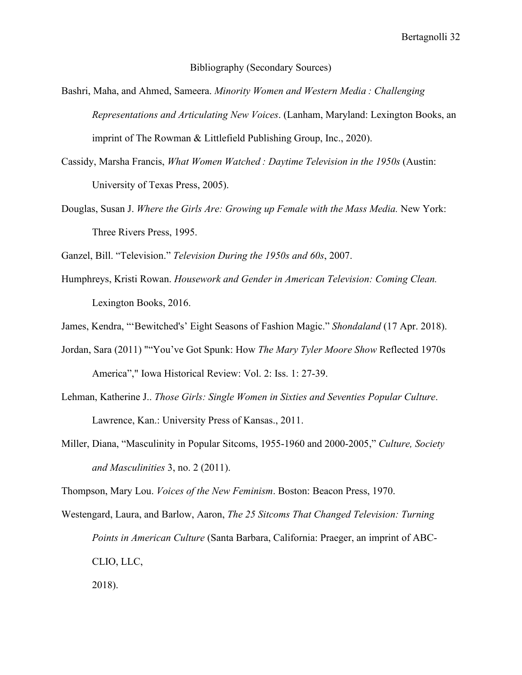Bibliography (Secondary Sources)

- Bashri, Maha, and Ahmed, Sameera. *Minority Women and Western Media : Challenging Representations and Articulating New Voices*. (Lanham, Maryland: Lexington Books, an imprint of The Rowman & Littlefield Publishing Group, Inc., 2020).
- Cassidy, Marsha Francis, *What Women Watched : Daytime Television in the 1950s* (Austin: University of Texas Press, 2005).
- Douglas, Susan J. *Where the Girls Are: Growing up Female with the Mass Media.* New York: Three Rivers Press, 1995.

Ganzel, Bill. "Television." *Television During the 1950s and 60s*, 2007.

Humphreys, Kristi Rowan. *Housework and Gender in American Television: Coming Clean.* Lexington Books, 2016.

James, Kendra, "'Bewitched's' Eight Seasons of Fashion Magic." *Shondaland* (17 Apr. 2018).

- Jordan, Sara (2011) ""You've Got Spunk: How *The Mary Tyler Moore Show* Reflected 1970s America"," Iowa Historical Review: Vol. 2: Iss. 1: 27-39.
- Lehman, Katherine J.. *Those Girls: Single Women in Sixties and Seventies Popular Culture*. Lawrence, Kan.: University Press of Kansas., 2011.
- Miller, Diana, "Masculinity in Popular Sitcoms, 1955-1960 and 2000-2005," *Culture, Society and Masculinities* 3, no. 2 (2011).

Thompson, Mary Lou. *Voices of the New Feminism*. Boston: Beacon Press, 1970.

Westengard, Laura, and Barlow, Aaron, *The 25 Sitcoms That Changed Television: Turning Points in American Culture* (Santa Barbara, California: Praeger, an imprint of ABC-CLIO, LLC, 2018).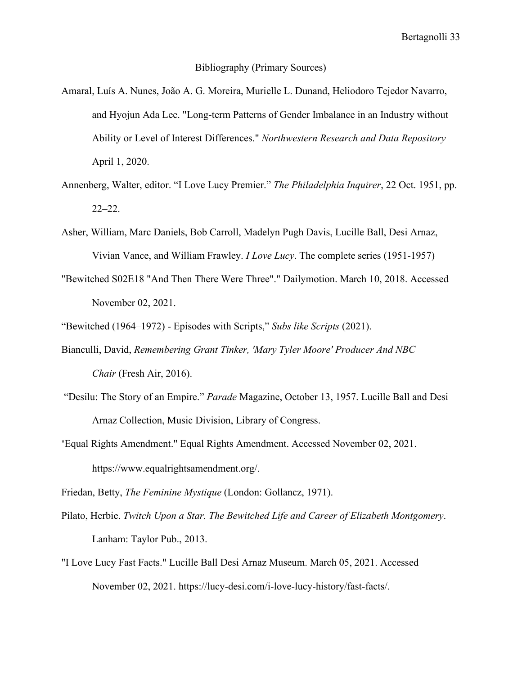#### Bibliography (Primary Sources)

- Amaral, Luís A. Nunes, João A. G. Moreira, Murielle L. Dunand, Heliodoro Tejedor Navarro, and Hyojun Ada Lee. "Long-term Patterns of Gender Imbalance in an Industry without Ability or Level of Interest Differences." *Northwestern Research and Data Repository* April 1, 2020.
- Annenberg, Walter, editor. "I Love Lucy Premier." *The Philadelphia Inquirer*, 22 Oct. 1951, pp. 22–22.
- Asher, William, Marc Daniels, Bob Carroll, Madelyn Pugh Davis, Lucille Ball, Desi Arnaz, Vivian Vance, and William Frawley. *I Love Lucy*. The complete series (1951-1957)
- "Bewitched S02E18 "And Then There Were Three"." Dailymotion. March 10, 2018. Accessed November 02, 2021.
- "Bewitched (1964–1972) Episodes with Scripts," *Subs like Scripts* (2021).
- Bianculli, David, *Remembering Grant Tinker, 'Mary Tyler Moore' Producer And NBC Chair* (Fresh Air, 2016).
- "Desilu: The Story of an Empire." *Parade* Magazine, October 13, 1957. Lucille Ball and Desi Arnaz Collection, Music Division, Library of Congress.
- "Equal Rights Amendment." Equal Rights Amendment. Accessed November 02, 2021. https://www.equalrightsamendment.org/.

Friedan, Betty, *The Feminine Mystique* (London: Gollancz, 1971).

- Pilato, Herbie. *Twitch Upon a Star. The Bewitched Life and Career of Elizabeth Montgomery*. Lanham: Taylor Pub., 2013.
- "I Love Lucy Fast Facts." Lucille Ball Desi Arnaz Museum. March 05, 2021. Accessed November 02, 2021. https://lucy-desi.com/i-love-lucy-history/fast-facts/.